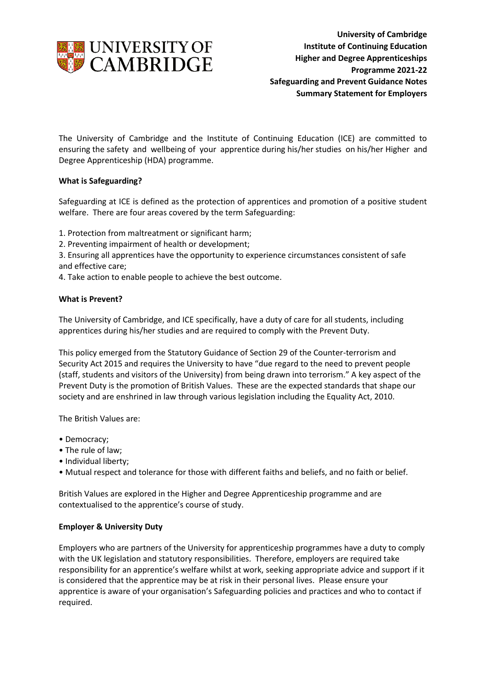

The University of Cambridge and the Institute of Continuing Education (ICE) are committed to ensuring the safety and wellbeing of your apprentice during his/her studies on his/her Higher and Degree Apprenticeship (HDA) programme.

## **What is Safeguarding?**

Safeguarding at ICE is defined as the protection of apprentices and promotion of a positive student welfare. There are four areas covered by the term Safeguarding:

1. Protection from maltreatment or significant harm;

2. Preventing impairment of health or development;

3. Ensuring all apprentices have the opportunity to experience circumstances consistent of safe and effective care;

4. Take action to enable people to achieve the best outcome.

## **What is Prevent?**

The University of Cambridge, and ICE specifically, have a duty of care for all students, including apprentices during his/her studies and are required to comply with the Prevent Duty.

This policy emerged from the Statutory Guidance of Section 29 of the Counter-terrorism and Security Act 2015 and requires the University to have "due regard to the need to prevent people (staff, students and visitors of the University) from being drawn into terrorism." A key aspect of the Prevent Duty is the promotion of British Values. These are the expected standards that shape our society and are enshrined in law through various legislation including the Equality Act, 2010.

The British Values are:

- Democracy;
- The rule of law;
- Individual liberty;
- Mutual respect and tolerance for those with different faiths and beliefs, and no faith or belief.

British Values are explored in the Higher and Degree Apprenticeship programme and are contextualised to the apprentice's course of study.

## **Employer & University Duty**

Employers who are partners of the University for apprenticeship programmes have a duty to comply with the UK legislation and statutory responsibilities. Therefore, employers are required take responsibility for an apprentice's welfare whilst at work, seeking appropriate advice and support if it is considered that the apprentice may be at risk in their personal lives. Please ensure your apprentice is aware of your organisation's Safeguarding policies and practices and who to contact if required.